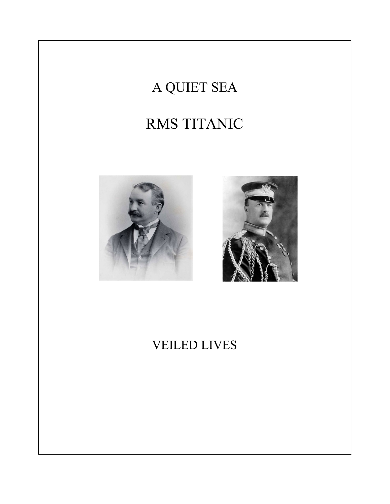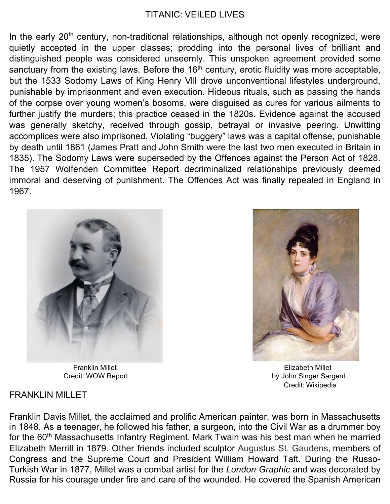## TITANIC: VEILED LIVES

In the early 20<sup>th</sup> century, non-traditional relationships, although not openly recognized, were quietly accepted in the upper classes; prodding into the personal lives of brilliant and distinguished people was considered unseemly. This unspoken agreement provided some sanctuary from the existing laws. Before the 16<sup>th</sup> century, erotic fluidity was more acceptable, but the 1533 Sodomy Laws of King Henry Vlll drove unconventional lifestyles underground, punishable by imprisonment and even execution. Hideous rituals, such as passing the hands of the corpse over young women's bosoms, were disguised as cures for various ailments to further justify the murders; this practice ceased in the 1820s. Evidence against the accused was generally sketchy, received through gossip, betrayal or invasive peering. Unwitting accomplices were also imprisoned. Violating "buggery" laws was a capital offense, punishable by death until 1861 (James Pratt and John Smith were the last two men executed in Britain in 1835). The Sodomy Laws were superseded by the Offences against the Person Act of 1828. The 1957 Wolfenden Committee Report decriminalized relationships previously deemed immoral and deserving of punishment. The Offences Act was finally repealed in England in 1967.





Credit: WOW Report **by John Singer Sargent** Credit: Wikipedia

### FRANKLIN MILLET

Franklin Davis Millet, the acclaimed and prolific American painter, was born in Massachusetts in 1848. As a teenager, he followed his father, a surgeon, into the Civil War as a drummer boy for the 60<sup>th</sup> Massachusetts Infantry Regiment. Mark Twain was his best man when he married Elizabeth Merrill in 1879. Other friends included sculptor Augustus St. Gaudens, members of Congress and the Supreme Court and President William Howard Taft. During the Russo-Turkish War in 1877, Millet was a combat artist for the *London Graphic* and was decorated by Russia for his courage under fire and care of the wounded. He covered the Spanish American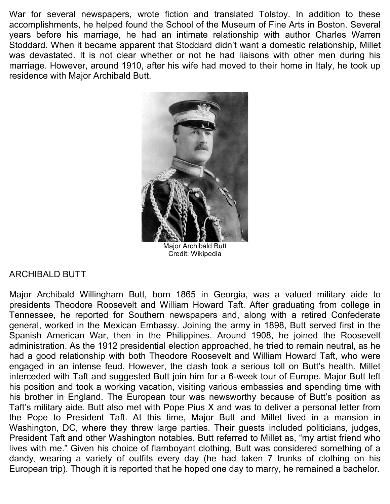War for several newspapers, wrote fiction and translated Tolstoy. In addition to these accomplishments, he helped found the School of the Museum of Fine Arts in Boston. Several years before his marriage, he had an intimate relationship with author Charles Warren Stoddard. When it became apparent that Stoddard didn't want a domestic relationship, Millet was devastated. It is not clear whether or not he had liaisons with other men during his marriage. However, around 1910, after his wife had moved to their home in Italy, he took up residence with Major Archibald Butt.



Major Archibald Butt Credit: Wikipedia

## ARCHIBALD BUTT

Major Archibald Willingham Butt, born 1865 in Georgia, was a valued military aide to presidents Theodore Roosevelt and William Howard Taft. After graduating from college in Tennessee, he reported for Southern newspapers and, along with a retired Confederate general, worked in the Mexican Embassy. Joining the army in 1898, Butt served first in the Spanish American War, then in the Philippines. Around 1908, he joined the Roosevelt administration. As the 1912 presidential election approached, he tried to remain neutral, as he had a good relationship with both Theodore Roosevelt and William Howard Taft, who were engaged in an intense feud. However, the clash took a serious toll on Butt's health. Millet interceded with Taft and suggested Butt join him for a 6-week tour of Europe. Major Butt left his position and took a working vacation, visiting various embassies and spending time with his brother in England. The European tour was newsworthy because of Butt's position as Taft's military aide. Butt also met with Pope Pius X and was to deliver a personal letter from the Pope to President Taft. At this time, Major Butt and Millet lived in a mansion in Washington, DC, where they threw large parties. Their guests included politicians, judges, President Taft and other Washington notables. Butt referred to Millet as, "my artist friend who lives with me." Given his choice of flamboyant clothing, Butt was considered something of a dandy, wearing a variety of outfits every day (he had taken 7 trunks of clothing on his European trip). Though it is reported that he hoped one day to marry, he remained a bachelor.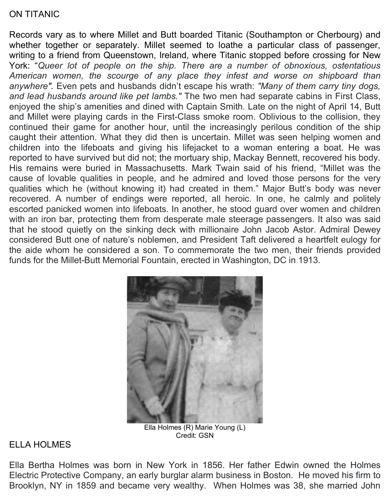## ON TITANIC

Records vary as to where Millet and Butt boarded Titanic (Southampton or Cherbourg) and whether together or separately. Millet seemed to loathe a particular class of passenger, writing to a friend from Queenstown, Ireland, where Titanic stopped before crossing for New York: "*Queer lot of people on the ship. There are a number of obnoxious, ostentatious American women, the scourge of any place they infest and worse on shipboard than anywhere".* Even pets and husbands didn't escape his wrath: *"Many of them carry tiny dogs, and lead husbands around like pet lambs."* The two men had separate cabins in First Class, enjoyed the ship's amenities and dined with Captain Smith. Late on the night of April 14, Butt and Millet were playing cards in the First-Class smoke room. Oblivious to the collision, they continued their game for another hour, until the increasingly perilous condition of the ship caught their attention. What they did then is uncertain. Millet was seen helping women and children into the lifeboats and giving his lifejacket to a woman entering a boat. He was reported to have survived but did not; the mortuary ship, Mackay Bennett, recovered his body. His remains were buried in Massachusetts. Mark Twain said of his friend, "Millet was the cause of lovable qualities in people, and he admired and loved those persons for the very qualities which he (without knowing it) had created in them." Major Butt's body was never recovered. A number of endings were reported, all heroic. In one, he calmly and politely escorted panicked women into lifeboats. In another, he stood guard over women and children with an iron bar, protecting them from desperate male steerage passengers. It also was said that he stood quietly on the sinking deck with millionaire John Jacob Astor. Admiral Dewey considered Butt one of nature's noblemen, and President Taft delivered a heartfelt eulogy for the aide whom he considered a son. To commemorate the two men, their friends provided funds for the Millet-Butt Memorial Fountain, erected in Washington, DC in 1913.



Ella Holmes (R) Marie Young (L) Credit: GSN

#### ELLA HOLMES

Ella Bertha Holmes was born in New York in 1856. Her father Edwin owned the Holmes Electric Protective Company, an early burglar alarm business in Boston. He moved his firm to Brooklyn, NY in 1859 and became very wealthy. When Holmes was 38, she married John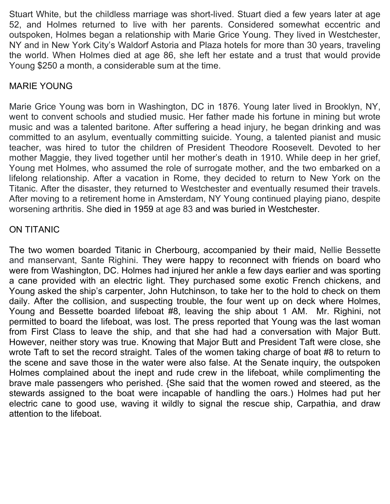Stuart White, but the childless marriage was short-lived. Stuart died a few years later at age 52, and Holmes returned to live with her parents. Considered somewhat eccentric and outspoken, Holmes began a relationship with Marie Grice Young. They lived in Westchester, NY and in New York City's Waldorf Astoria and Plaza hotels for more than 30 years, traveling the world. When Holmes died at age 86, she left her estate and a trust that would provide Young \$250 a month, a considerable sum at the time.

## MARIE YOUNG

Marie Grice Young was born in Washington, DC in 1876. Young later lived in Brooklyn, NY, went to convent schools and studied music. Her father made his fortune in mining but wrote music and was a talented baritone. After suffering a head injury, he began drinking and was committed to an asylum, eventually committing suicide. Young, a talented pianist and music teacher, was hired to tutor the children of President Theodore Roosevelt. Devoted to her mother Maggie, they lived together until her mother's death in 1910. While deep in her grief, Young met Holmes, who assumed the role of surrogate mother, and the two embarked on a lifelong relationship. After a vacation in Rome, they decided to return to New York on the Titanic. After the disaster, they returned to Westchester and eventually resumed their travels. After moving to a retirement home in Amsterdam, NY Young continued playing piano, despite worsening arthritis. She died in 1959 at age 83 and was buried in Westchester.

## ON TITANIC

The two women boarded Titanic in Cherbourg, accompanied by their maid, Nellie Bessette and manservant, Sante Righini. They were happy to reconnect with friends on board who were from Washington, DC. Holmes had injured her ankle a few days earlier and was sporting a cane provided with an electric light. They purchased some exotic French chickens, and Young asked the ship's carpenter, John Hutchinson, to take her to the hold to check on them daily. After the collision, and suspecting trouble, the four went up on deck where Holmes, Young and Bessette boarded lifeboat #8, leaving the ship about 1 AM. Mr. Righini, not permitted to board the lifeboat, was lost. The press reported that Young was the last woman from First Class to leave the ship, and that she had had a conversation with Major Butt. However, neither story was true. Knowing that Major Butt and President Taft were close, she wrote Taft to set the record straight. Tales of the women taking charge of boat #8 to return to the scene and save those in the water were also false. At the Senate inquiry, the outspoken Holmes complained about the inept and rude crew in the lifeboat, while complimenting the brave male passengers who perished. {She said that the women rowed and steered, as the stewards assigned to the boat were incapable of handling the oars.) Holmes had put her electric cane to good use, waving it wildly to signal the rescue ship, Carpathia, and draw attention to the lifeboat.